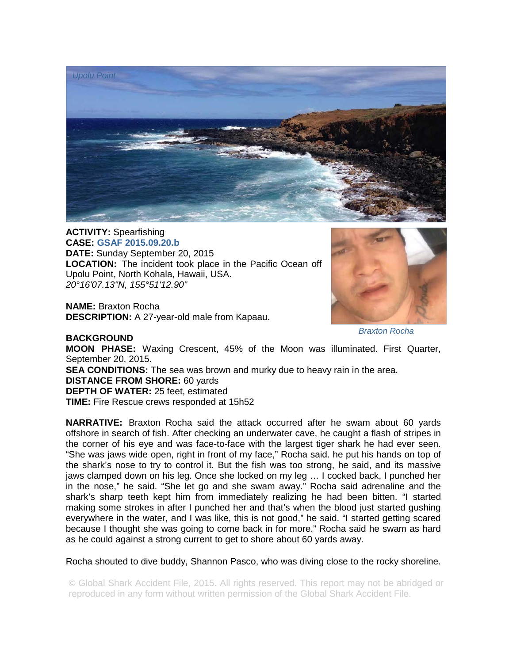

**ACTIVITY:** Spearfishing **CASE: GSAF 2015.09.20.b DATE:** Sunday September 20, 2015 **LOCATION:** The incident took place in the Pacific Ocean off Upolu Point, North Kohala, Hawaii, USA. *20°16'07.13"N, 155°51'12.90"* 

**NAME:** Braxton Rocha **DESCRIPTION:** A 27-year-old male from Kapaau.



## *Braxton Rocha*

**BACKGROUND MOON PHASE:** Waxing Crescent, 45% of the Moon was illuminated. First Quarter, September 20, 2015. **SEA CONDITIONS:** The sea was brown and murky due to heavy rain in the area. **DISTANCE FROM SHORE:** 60 yards **DEPTH OF WATER:** 25 feet, estimated **TIME:** Fire Rescue crews responded at 15h52

**NARRATIVE:** Braxton Rocha said the attack occurred after he swam about 60 yards offshore in search of fish. After checking an underwater cave, he caught a flash of stripes in the corner of his eye and was face-to-face with the largest tiger shark he had ever seen. "She was jaws wide open, right in front of my face," Rocha said. he put his hands on top of the shark's nose to try to control it. But the fish was too strong, he said, and its massive jaws clamped down on his leg. Once she locked on my leg … I cocked back, I punched her in the nose," he said. "She let go and she swam away." Rocha said adrenaline and the shark's sharp teeth kept him from immediately realizing he had been bitten. "I started making some strokes in after I punched her and that's when the blood just started gushing everywhere in the water, and I was like, this is not good," he said. "I started getting scared because I thought she was going to come back in for more." Rocha said he swam as hard as he could against a strong current to get to shore about 60 yards away.

Rocha shouted to dive buddy, Shannon Pasco, who was diving close to the rocky shoreline.

© Global Shark Accident File, 2015. All rights reserved. This report may not be abridged or reproduced in any form without written permission of the Global Shark Accident File.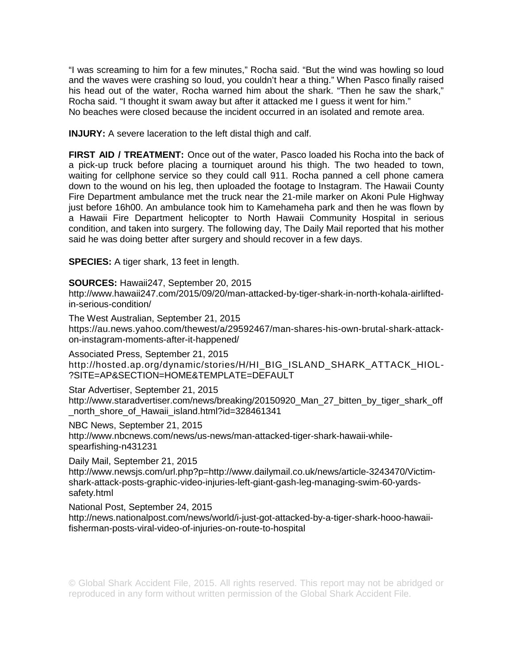"I was screaming to him for a few minutes," Rocha said. "But the wind was howling so loud and the waves were crashing so loud, you couldn't hear a thing." When Pasco finally raised his head out of the water, Rocha warned him about the shark. "Then he saw the shark," Rocha said. "I thought it swam away but after it attacked me I guess it went for him." No beaches were closed because the incident occurred in an isolated and remote area.

**INJURY:** A severe laceration to the left distal thigh and calf.

**FIRST AID / TREATMENT:** Once out of the water, Pasco loaded his Rocha into the back of a pick-up truck before placing a tourniquet around his thigh. The two headed to town, waiting for cellphone service so they could call 911. Rocha panned a cell phone camera down to the wound on his leg, then uploaded the footage to Instagram. The Hawaii County Fire Department ambulance met the truck near the 21-mile marker on Akoni Pule Highway just before 16h00. An ambulance took him to Kamehameha park and then he was flown by a Hawaii Fire Department helicopter to North Hawaii Community Hospital in serious condition, and taken into surgery. The following day, The Daily Mail reported that his mother said he was doing better after surgery and should recover in a few days.

**SPECIES:** A tiger shark, 13 feet in length.

**SOURCES:** Hawaii247, September 20, 2015

http://www.hawaii247.com/2015/09/20/man-attacked-by-tiger-shark-in-north-kohala-airliftedin-serious-condition/

The West Australian, September 21, 2015 https://au.news.yahoo.com/thewest/a/29592467/man-shares-his-own-brutal-shark-attackon-instagram-moments-after-it-happened/

Associated Press, September 21, 2015 http://hosted.ap.org/dynamic/stories/H/HI\_BIG\_ISLAND\_SHARK\_ATTACK\_HIOL- ?SITE=AP&SECTION=HOME&TEMPLATE=DEFAULT

Star Advertiser, September 21, 2015

http://www.staradvertiser.com/news/breaking/20150920\_Man\_27\_bitten\_by\_tiger\_shark\_off \_north\_shore\_of\_Hawaii\_island.html?id=328461341

NBC News, September 21, 2015 http://www.nbcnews.com/news/us-news/man-attacked-tiger-shark-hawaii-whilespearfishing-n431231

Daily Mail, September 21, 2015

http://www.newsjs.com/url.php?p=http://www.dailymail.co.uk/news/article-3243470/Victimshark-attack-posts-graphic-video-injuries-left-giant-gash-leg-managing-swim-60-yardssafety.html

National Post, September 24, 2015

http://news.nationalpost.com/news/world/i-just-got-attacked-by-a-tiger-shark-hooo-hawaiifisherman-posts-viral-video-of-injuries-on-route-to-hospital

© Global Shark Accident File, 2015. All rights reserved. This report may not be abridged or reproduced in any form without written permission of the Global Shark Accident File.